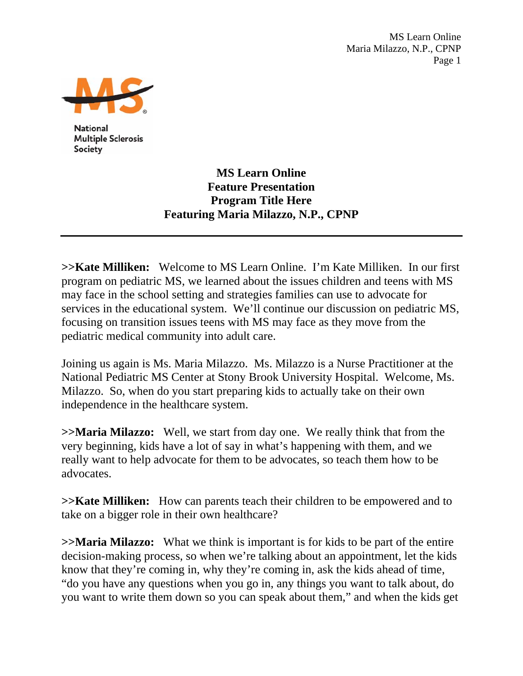MS Learn Online Maria Milazzo, N.P., CPNP Page 1



**National Multiple Sclerosis** Society

> **MS Learn Online Feature Presentation Program Title Here Featuring Maria Milazzo, N.P., CPNP**

**>>Kate Milliken:** Welcome to MS Learn Online. I'm Kate Milliken. In our first program on pediatric MS, we learned about the issues children and teens with MS may face in the school setting and strategies families can use to advocate for services in the educational system. We'll continue our discussion on pediatric MS, focusing on transition issues teens with MS may face as they move from the pediatric medical community into adult care.

Joining us again is Ms. Maria Milazzo. Ms. Milazzo is a Nurse Practitioner at the National Pediatric MS Center at Stony Brook University Hospital. Welcome, Ms. Milazzo. So, when do you start preparing kids to actually take on their own independence in the healthcare system.

**>>Maria Milazzo:** Well, we start from day one. We really think that from the very beginning, kids have a lot of say in what's happening with them, and we really want to help advocate for them to be advocates, so teach them how to be advocates.

**>>Kate Milliken:** How can parents teach their children to be empowered and to take on a bigger role in their own healthcare?

**>>Maria Milazzo:** What we think is important is for kids to be part of the entire decision-making process, so when we're talking about an appointment, let the kids know that they're coming in, why they're coming in, ask the kids ahead of time, "do you have any questions when you go in, any things you want to talk about, do you want to write them down so you can speak about them," and when the kids get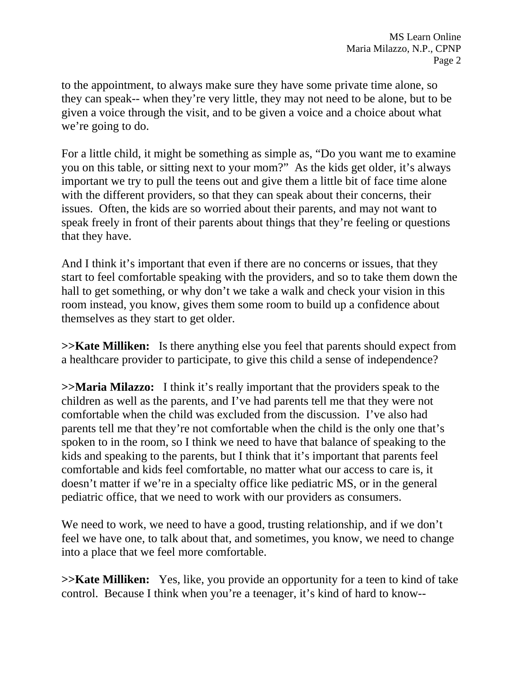to the appointment, to always make sure they have some private time alone, so they can speak-- when they're very little, they may not need to be alone, but to be given a voice through the visit, and to be given a voice and a choice about what we're going to do.

For a little child, it might be something as simple as, "Do you want me to examine you on this table, or sitting next to your mom?" As the kids get older, it's always important we try to pull the teens out and give them a little bit of face time alone with the different providers, so that they can speak about their concerns, their issues. Often, the kids are so worried about their parents, and may not want to speak freely in front of their parents about things that they're feeling or questions that they have.

And I think it's important that even if there are no concerns or issues, that they start to feel comfortable speaking with the providers, and so to take them down the hall to get something, or why don't we take a walk and check your vision in this room instead, you know, gives them some room to build up a confidence about themselves as they start to get older.

**>>Kate Milliken:** Is there anything else you feel that parents should expect from a healthcare provider to participate, to give this child a sense of independence?

**>>Maria Milazzo:** I think it's really important that the providers speak to the children as well as the parents, and I've had parents tell me that they were not comfortable when the child was excluded from the discussion. I've also had parents tell me that they're not comfortable when the child is the only one that's spoken to in the room, so I think we need to have that balance of speaking to the kids and speaking to the parents, but I think that it's important that parents feel comfortable and kids feel comfortable, no matter what our access to care is, it doesn't matter if we're in a specialty office like pediatric MS, or in the general pediatric office, that we need to work with our providers as consumers.

We need to work, we need to have a good, trusting relationship, and if we don't feel we have one, to talk about that, and sometimes, you know, we need to change into a place that we feel more comfortable.

**>>Kate Milliken:** Yes, like, you provide an opportunity for a teen to kind of take control. Because I think when you're a teenager, it's kind of hard to know--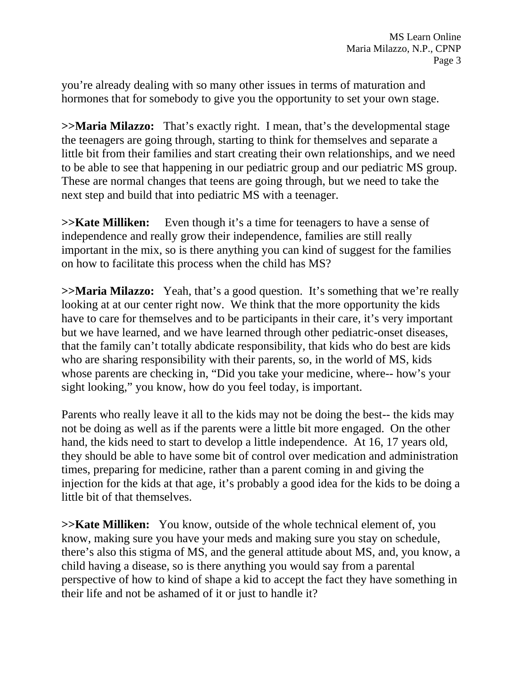you're already dealing with so many other issues in terms of maturation and hormones that for somebody to give you the opportunity to set your own stage.

**>>Maria Milazzo:** That's exactly right. I mean, that's the developmental stage the teenagers are going through, starting to think for themselves and separate a little bit from their families and start creating their own relationships, and we need to be able to see that happening in our pediatric group and our pediatric MS group. These are normal changes that teens are going through, but we need to take the next step and build that into pediatric MS with a teenager.

**>>Kate Milliken:** Even though it's a time for teenagers to have a sense of independence and really grow their independence, families are still really important in the mix, so is there anything you can kind of suggest for the families on how to facilitate this process when the child has MS?

**>>Maria Milazzo:** Yeah, that's a good question. It's something that we're really looking at at our center right now. We think that the more opportunity the kids have to care for themselves and to be participants in their care, it's very important but we have learned, and we have learned through other pediatric-onset diseases, that the family can't totally abdicate responsibility, that kids who do best are kids who are sharing responsibility with their parents, so, in the world of MS, kids whose parents are checking in, "Did you take your medicine, where-- how's your sight looking," you know, how do you feel today, is important.

Parents who really leave it all to the kids may not be doing the best-- the kids may not be doing as well as if the parents were a little bit more engaged. On the other hand, the kids need to start to develop a little independence. At 16, 17 years old, they should be able to have some bit of control over medication and administration times, preparing for medicine, rather than a parent coming in and giving the injection for the kids at that age, it's probably a good idea for the kids to be doing a little bit of that themselves.

**>>Kate Milliken:** You know, outside of the whole technical element of, you know, making sure you have your meds and making sure you stay on schedule, there's also this stigma of MS, and the general attitude about MS, and, you know, a child having a disease, so is there anything you would say from a parental perspective of how to kind of shape a kid to accept the fact they have something in their life and not be ashamed of it or just to handle it?